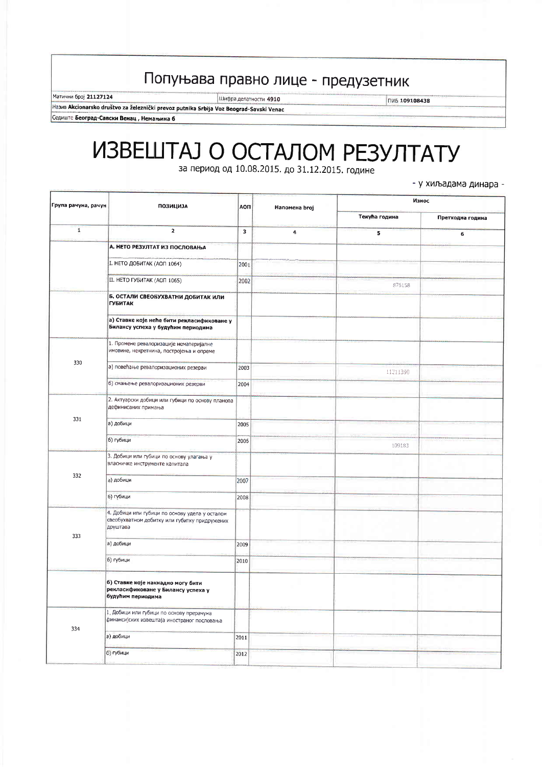## Попуњава правно лице - предузетник

Матични број 21127124

Шифра делатности 4910

**NAS 109108438** 

Ha3MB Akcionarsko društvo za železnički prevoz putnika Srbija Voz Beograd-Savski Venac Седиште Београд-Савски Венац, Немањина 6

## ИЗВЕШТАЈ О ОСТАЛОМ РЕЗУЛТАТУ

за период од 10.08.2015. до 31.12.2015. године

- у хиљадама динара -

| Група рачуна, рачун | <b>ПОЗИЦИЈА</b>                                                                                             | АОП  | Напомена broj        | Износ         |                  |
|---------------------|-------------------------------------------------------------------------------------------------------------|------|----------------------|---------------|------------------|
|                     |                                                                                                             |      |                      | Текућа година | Претходна година |
| $\mathbf 1$         | $\overline{\mathbf{z}}$                                                                                     | 3    | $\ddot{\phantom{a}}$ | 5             | 6                |
|                     | А. НЕТО РЕЗУЛТАТ ИЗ ПОСЛОВАЊА                                                                               |      |                      |               |                  |
|                     | I. НЕТО ДОБИТАК (АОП 1064)                                                                                  | 2001 |                      |               |                  |
|                     | II. HETO ГУБИТАК (AOП 1065)                                                                                 | 2002 |                      | 876158        |                  |
|                     | Б. ОСТАЛИ СВЕОБУХВАТНИ ДОБИТАК ИЛИ<br><b>ГУБИТАК</b>                                                        |      |                      |               |                  |
|                     | а) Ставке које неће бити рекласификоване у<br>Билансу успеха у будућим периодима                            |      |                      |               |                  |
| 330                 | 1. Промене ревалоризације нематеријалне<br>имовине, некретнина, постројења и опреме                         |      |                      |               |                  |
|                     | а) повећање ревалоризационих резерви                                                                        | 2003 |                      | 11211390      |                  |
|                     | б) смањење ревалоризационих резерви                                                                         | 2004 |                      |               |                  |
| 331                 | 2. Актуарски добици или губици по основу планова<br>дефинисаних примања                                     |      |                      |               |                  |
|                     | а) добици                                                                                                   | 2005 |                      |               |                  |
|                     | б) губици                                                                                                   | 2006 |                      | 109183        |                  |
| 332                 | 3. Добици или губици по основу улагања у<br>власничке инструменте капитала                                  |      |                      |               |                  |
|                     | а) добици                                                                                                   | 2007 |                      |               |                  |
|                     | б) губици                                                                                                   | 2008 |                      |               |                  |
| 333                 | 4. Добици или губици по основу удела у осталом<br>свеобухватном добитку или губитку придружених<br>друштава |      |                      |               |                  |
|                     | а) добици                                                                                                   | 2009 |                      |               |                  |
|                     | б) губици                                                                                                   | 2010 |                      |               |                  |
|                     | 6) Ставке које накнадно могу бити<br>рекласификоване у Билансу успеха у<br>будућим периодима                |      |                      |               |                  |
| 334                 | 1. Добици или губици по основу прерачуна<br>финансијских извештаја иностраног пословања                     |      |                      |               |                  |
|                     | а) добици                                                                                                   | 2011 |                      |               |                  |
|                     | б) губици                                                                                                   | 2012 |                      |               |                  |